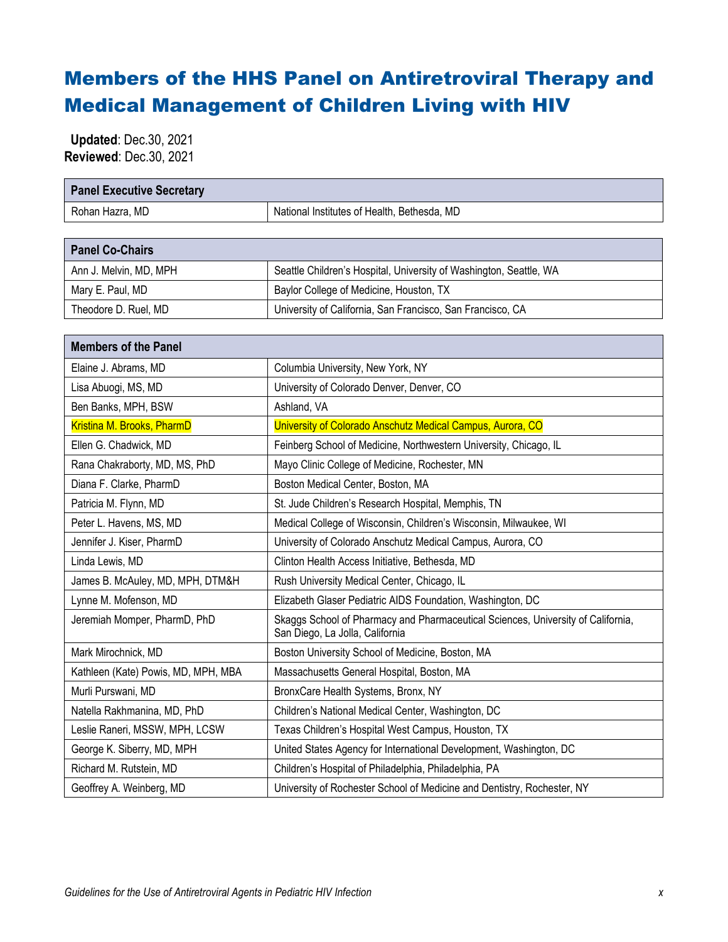## Members of the HHS Panel on Antiretroviral Therapy and Medical Management of Children Living with HIV

 **Updated**: Dec.30, 2021 **Reviewed**: Dec.30, 2021

| <b>Panel Executive Secretary</b>    |                                                                                                                     |
|-------------------------------------|---------------------------------------------------------------------------------------------------------------------|
| Rohan Hazra, MD                     | National Institutes of Health, Bethesda, MD                                                                         |
|                                     |                                                                                                                     |
| <b>Panel Co-Chairs</b>              |                                                                                                                     |
| Ann J. Melvin, MD, MPH              | Seattle Children's Hospital, University of Washington, Seattle, WA                                                  |
| Mary E. Paul, MD                    | Baylor College of Medicine, Houston, TX                                                                             |
| Theodore D. Ruel, MD                | University of California, San Francisco, San Francisco, CA                                                          |
|                                     |                                                                                                                     |
| <b>Members of the Panel</b>         |                                                                                                                     |
| Elaine J. Abrams, MD                | Columbia University, New York, NY                                                                                   |
| Lisa Abuogi, MS, MD                 | University of Colorado Denver, Denver, CO                                                                           |
| Ben Banks, MPH, BSW                 | Ashland, VA                                                                                                         |
| Kristina M. Brooks, PharmD          | University of Colorado Anschutz Medical Campus, Aurora, CO                                                          |
| Ellen G. Chadwick, MD               | Feinberg School of Medicine, Northwestern University, Chicago, IL                                                   |
| Rana Chakraborty, MD, MS, PhD       | Mayo Clinic College of Medicine, Rochester, MN                                                                      |
| Diana F. Clarke, PharmD             | Boston Medical Center, Boston, MA                                                                                   |
| Patricia M. Flynn, MD               | St. Jude Children's Research Hospital, Memphis, TN                                                                  |
| Peter L. Havens, MS, MD             | Medical College of Wisconsin, Children's Wisconsin, Milwaukee, WI                                                   |
| Jennifer J. Kiser, PharmD           | University of Colorado Anschutz Medical Campus, Aurora, CO                                                          |
| Linda Lewis, MD                     | Clinton Health Access Initiative, Bethesda, MD                                                                      |
| James B. McAuley, MD, MPH, DTM&H    | Rush University Medical Center, Chicago, IL                                                                         |
| Lynne M. Mofenson, MD               | Elizabeth Glaser Pediatric AIDS Foundation, Washington, DC                                                          |
| Jeremiah Momper, PharmD, PhD        | Skaggs School of Pharmacy and Pharmaceutical Sciences, University of California,<br>San Diego, La Jolla, California |
| Mark Mirochnick, MD                 | Boston University School of Medicine, Boston, MA                                                                    |
| Kathleen (Kate) Powis, MD, MPH, MBA | Massachusetts General Hospital, Boston, MA                                                                          |
| Murli Purswani, MD                  | BronxCare Health Systems, Bronx, NY                                                                                 |
| Natella Rakhmanina, MD, PhD         | Children's National Medical Center, Washington, DC                                                                  |
| Leslie Raneri, MSSW, MPH, LCSW      | Texas Children's Hospital West Campus, Houston, TX                                                                  |
| George K. Siberry, MD, MPH          | United States Agency for International Development, Washington, DC                                                  |
| Richard M. Rutstein, MD             | Children's Hospital of Philadelphia, Philadelphia, PA                                                               |
| Geoffrey A. Weinberg, MD            | University of Rochester School of Medicine and Dentistry, Rochester, NY                                             |